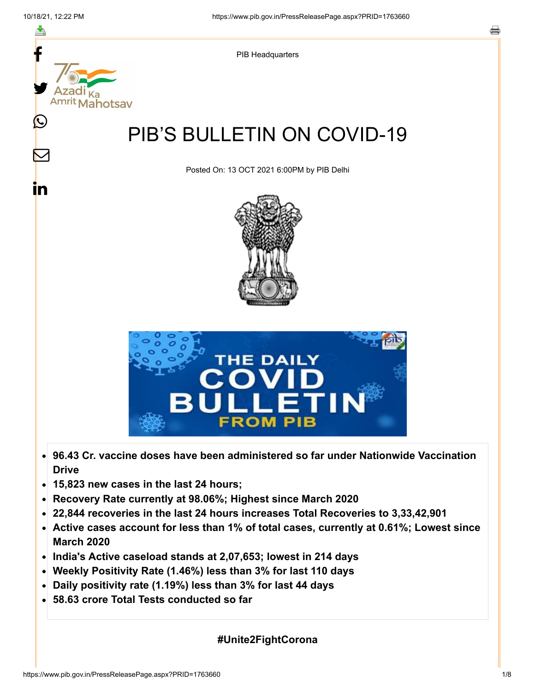

- **Recovery Rate currently at 98.06%; Highest since March 2020**
- **22,844 recoveries in the last 24 hours increases Total Recoveries to 3,33,42,901**
- **Active cases account for less than 1% of total cases, currently at 0.61%; Lowest since**  $\bullet$ **March 2020**
- **India's Active caseload stands at 2,07,653; lowest in 214 days**
- **Weekly Positivity Rate (1.46%) less than 3% for last 110 days**
- **Daily positivity rate (1.19%) less than 3% for last 44 days**
- **58.63 crore Total Tests conducted so far**

**#Unite2FightCorona**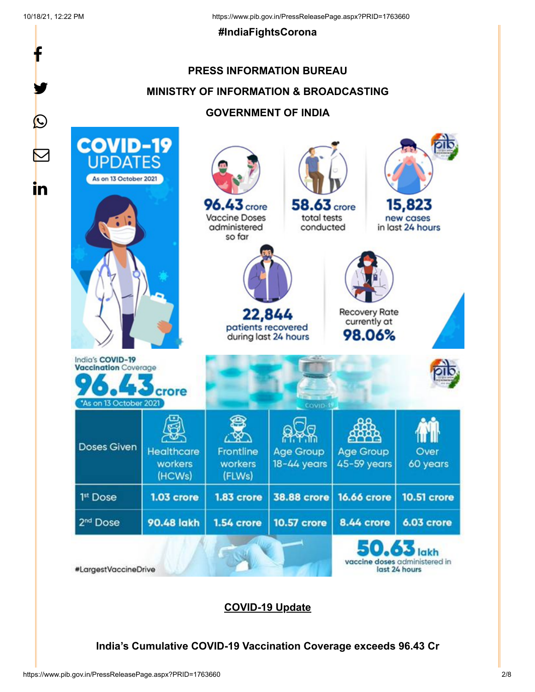f

y.

 $\bigcirc$ 

 $\boldsymbol{\mathsf{M}}$ 

in

#### **#IndiaFightsCorona**

# **PRESS INFORMATION BUREAU MINISTRY OF INFORMATION & BROADCASTING GOVERNMENT OF INDIA**



#LargestVaccineDrive

**COVID-19 Update**

**India's Cumulative COVID-19 Vaccination Coverage exceeds 96.43 Cr**

last 24 hours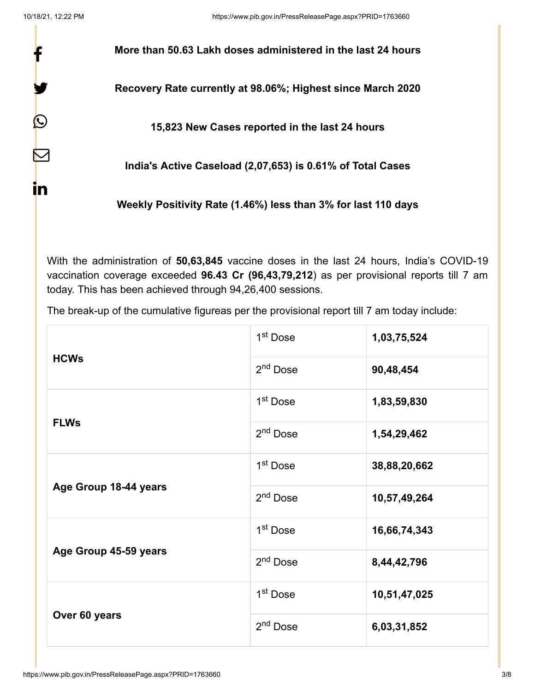f

y.

 $\bm{\mathcal{Q}}$ 

 $\bm{\nabla}$ 

in

**More than 50.63 Lakh doses administered in the last 24 hours**

**Recovery Rate currently at 98.06%; Highest since March 2020**

**15,823 New Cases reported in the last 24 hours**

**India's Active Caseload (2,07,653) is 0.61% of Total Cases**

**Weekly Positivity Rate (1.46%) less than 3% for last 110 days**

With the administration of **50,63,845** vaccine doses in the last 24 hours, India's COVID-19 vaccination coverage exceeded **96.43 Cr (96,43,79,212**) as per provisional reports till 7 am today. This has been achieved through 94,26,400 sessions.

The break-up of the cumulative figureas per the provisional report till 7 am today include:

| <b>HCWs</b>           | 1 <sup>st</sup> Dose | 1,03,75,524  |
|-----------------------|----------------------|--------------|
|                       | 2 <sup>nd</sup> Dose | 90,48,454    |
| <b>FLWs</b>           | 1 <sup>st</sup> Dose | 1,83,59,830  |
|                       | 2 <sup>nd</sup> Dose | 1,54,29,462  |
| Age Group 18-44 years | 1 <sup>st</sup> Dose | 38,88,20,662 |
|                       | 2 <sup>nd</sup> Dose | 10,57,49,264 |
| Age Group 45-59 years | 1 <sup>st</sup> Dose | 16,66,74,343 |
|                       | 2 <sup>nd</sup> Dose | 8,44,42,796  |
| Over 60 years         | 1 <sup>st</sup> Dose | 10,51,47,025 |
|                       | 2 <sup>nd</sup> Dose | 6,03,31,852  |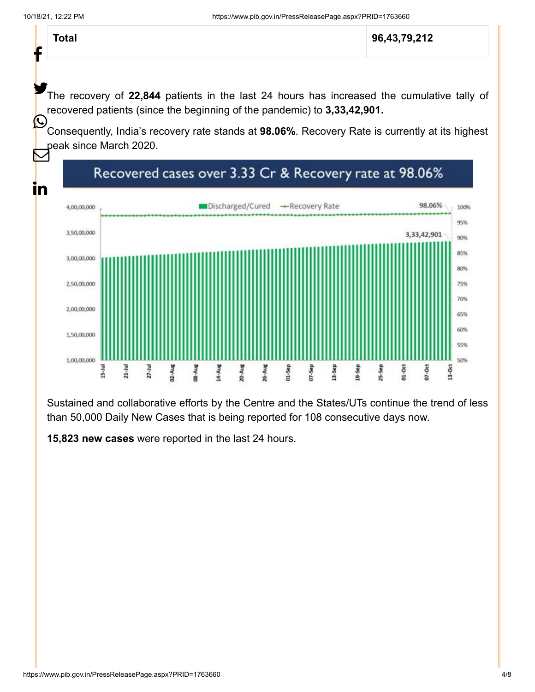Ť

**Total 96,43,79,212**

The recovery of 22,844 patients in the last 24 hours has increased the cumulative tally of recovered patients (since the beginning of the pandemic) to **3,33,42,901.**  $\mathbf C$ 

Consequently, India's recovery rate stands at **98.06%**. Recovery Rate is currently at its highest peak since March 2020.  $\bm{\nabla}$ 



Sustained and collaborative efforts by the Centre and the States/UTs continue the trend of less than 50,000 Daily New Cases that is being reported for 108 consecutive days now.

**15,823 new cases** were reported in the last 24 hours.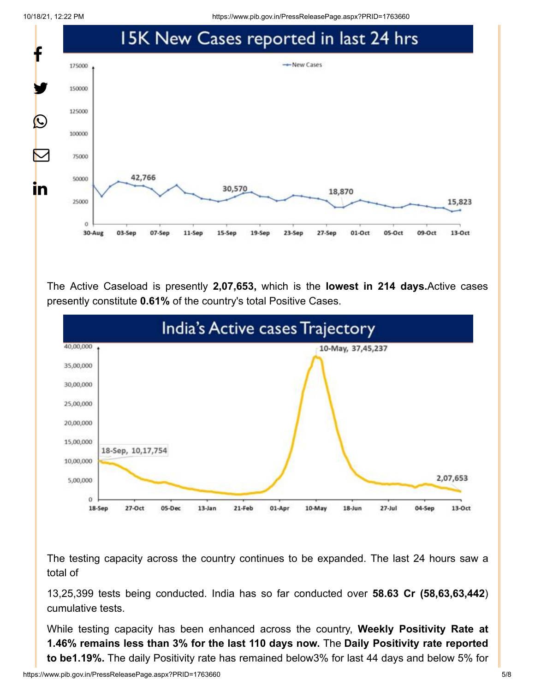10/18/21, 12:22 PM https://www.pib.gov.in/PressReleasePage.aspx?PRID=1763660



The Active Caseload is presently **2,07,653,** which is the **lowest in 214 days.**Active cases presently constitute **0.61%** of the country's total Positive Cases.



The testing capacity across the country continues to be expanded. The last 24 hours saw a total of

13,25,399 tests being conducted. India has so far conducted over **58.63 Cr (58,63,63,442**) cumulative tests.

While testing capacity has been enhanced across the country, **Weekly Positivity Rate at 1.46% remains less than 3% for the last 110 days now.** The **Daily Positivity rate reported to be1.19%.** The daily Positivity rate has remained below3% for last 44 days and below 5% for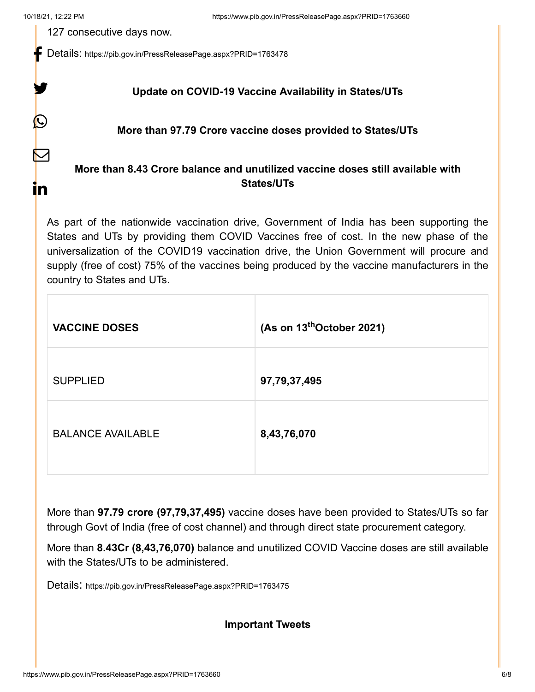y.

 $\boldsymbol{\mathsf{Q}}$ 

 $\color{red}\nabla$ 

in

127 consecutive days now.

Details: <https://pib.gov.in/PressReleasePage.aspx?PRID=1763478>

## **Update on COVID-19 Vaccine Availability in States/UTs**

#### **More than 97.79 Crore vaccine doses provided to States/UTs**

# **More than 8.43 Crore balance and unutilized vaccine doses still available with States/UTs**

As part of the nationwide vaccination drive, Government of India has been supporting the States and UTs by providing them COVID Vaccines free of cost. In the new phase of the universalization of the COVID19 vaccination drive, the Union Government will procure and supply (free of cost) 75% of the vaccines being produced by the vaccine manufacturers in the country to States and UTs.

| <b>VACCINE DOSES</b>     | (As on 13 <sup>th</sup> October 2021) |  |
|--------------------------|---------------------------------------|--|
| <b>SUPPLIED</b>          | 97,79,37,495                          |  |
| <b>BALANCE AVAILABLE</b> | 8,43,76,070                           |  |

More than **97.79 crore (97,79,37,495)** vaccine doses have been provided to States/UTs so far through Govt of India (free of cost channel) and through direct state procurement category.

More than **8.43Cr (8,43,76,070)** balance and unutilized COVID Vaccine doses are still available with the States/UTs to be administered.

Details: <https://pib.gov.in/PressReleasePage.aspx?PRID=1763475>

### **Important Tweets**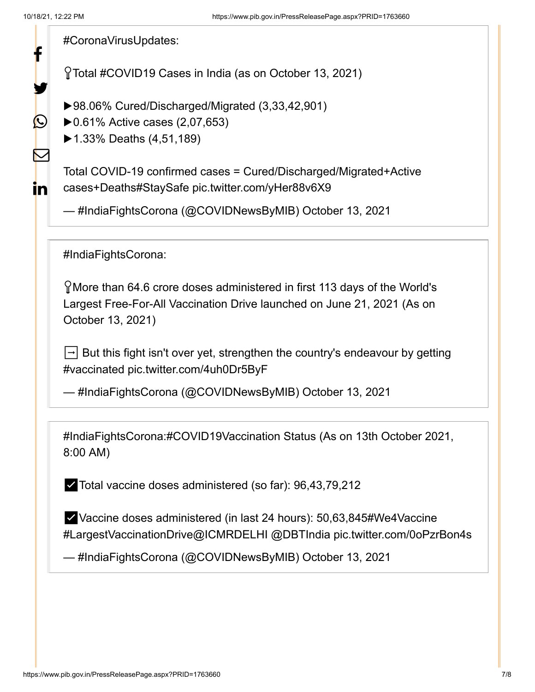[#CoronaVirusUpdates](https://twitter.com/hashtag/CoronaVirusUpdates?src=hash&ref_src=twsrc%5Etfw): Total [#COVID19](https://twitter.com/hashtag/COVID19?src=hash&ref_src=twsrc%5Etfw) Cases in India (as on October 13, 2021) ▶98.06% Cured/Discharged/Migrated (3,33,42,901) ▶ 0.61% Active cases (2,07,653) ▶1.33% Deaths (4,51,189) Total COVID-19 confirmed cases = Cured/Discharged/Migrated+Active cases+Death[s#StaySafe](https://twitter.com/hashtag/StaySafe?src=hash&ref_src=twsrc%5Etfw) [pic.twitter.com/yHer88v6X9](https://t.co/yHer88v6X9) — #IndiaFightsCorona (@COVIDNewsByMIB) [October 13, 2021](https://twitter.com/COVIDNewsByMIB/status/1448194552444047363?ref_src=twsrc%5Etfw) [#IndiaFightsCorona](https://twitter.com/hashtag/IndiaFightsCorona?src=hash&ref_src=twsrc%5Etfw): More than 64.6 crore doses administered in first 113 days of the World's Largest Free-For-All Vaccination Drive launched on June 21, 2021 (As on October 13, 2021)  $\Box$  But this fight isn't over yet, strengthen the country's endeavour by getting [#vaccinated](https://twitter.com/hashtag/vaccinated?src=hash&ref_src=twsrc%5Etfw) [pic.twitter.com/4uh0Dr5ByF](https://t.co/4uh0Dr5ByF) — #IndiaFightsCorona (@COVIDNewsByMIB) [October 13, 2021](https://twitter.com/COVIDNewsByMIB/status/1448160664409686018?ref_src=twsrc%5Etfw) [#IndiaFightsCorona](https://twitter.com/hashtag/IndiaFightsCorona?src=hash&ref_src=twsrc%5Etfw):[#COVID19Vaccination](https://twitter.com/hashtag/COVID19Vaccination?src=hash&ref_src=twsrc%5Etfw) Status (As on 13th October 2021, 8:00 AM) ✅Total vaccine doses administered (so far): 96,43,79,212 ✅Vaccine doses administered (in last 24 hours): 50,63,84[5#We4Vaccine](https://twitter.com/hashtag/We4Vaccine?src=hash&ref_src=twsrc%5Etfw) [#LargestVaccinationDrive](https://twitter.com/hashtag/LargestVaccinationDrive?src=hash&ref_src=twsrc%5Etfw)[@ICMRDELHI](https://twitter.com/ICMRDELHI?ref_src=twsrc%5Etfw) [@DBTIndia](https://twitter.com/DBTIndia?ref_src=twsrc%5Etfw) [pic.twitter.com/0oPzrBon4s](https://t.co/0oPzrBon4s) — #IndiaFightsCorona (@COVIDNewsByMIB) [October 13, 2021](https://twitter.com/COVIDNewsByMIB/status/1448152672050114560?ref_src=twsrc%5Etfw) f У.  $\bigcirc$ K in.